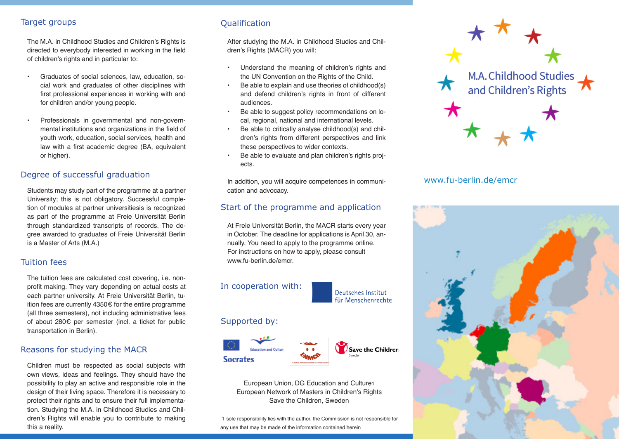#### **Target groups**

The M.A. in Childhood Studies and Children's Rights is directed to everybody interested in working in the field of children's rights and in particular to:

- Graduates of social sciences, law, education, social work and graduates of other disciplines with first professional experiences in working with and for children and/or young people.
- Professionals in governmental and non-governmental institutions and organizations in the field of youth work, education, social services, health and law with a first academic degree (BA, equivalent or higher).

#### Degree of successful graduation

Students may study part of the programme at a partner University; this is not obligatory. Successful completion of modules at partner universitiesis is recognized as part of the programme at Freie Universität Berlin through standardized transcripts of records. The degree awarded to graduates of Freie Universität Berlin is a Master of Arts (M.A.)

#### Tuition fees

The tuition fees are calculated cost covering, i.e. nonprofit making. They vary depending on actual costs at each partner university. At Freie Universität Berlin, tuition fees are currently 4350€ for the entire programme (all three semesters), not including administrative fees of about 280€ per semester (incl. a ticket for public transportation in Berlin).

#### Reasons for studying the MACR

Children must be respected as social subjects with own views, ideas and feelings. They should have the possibility to play an active and responsible role in the design of their living space. Therefore it is necessary to protect their rights and to ensure their full implementation. Studying the M.A. in Childhood Studies and Children's Rights will enable you to contribute to making this a reality.

## **Qualification**

After studying the M.A. in Childhood Studies and Children's Rights (MACR) you will:

- Understand the meaning of children's rights and the UN Convention on the Rights of the Child.
- Be able to explain and use theories of childhood(s) and defend children's rights in front of different audiences.
- Be able to suggest policy recommendations on local, regional, national and international levels.
- Be able to critically analyse childhood(s) and children's rights from different perspectives and link these perspectives to wider contexts.
- Be able to evaluate and plan children's rights projects.

In addition, you will acquire competences in communication and advocacy.

## Start of the programme and application

At Freie Universität Berlin, the MACR starts every year in October. The deadline for applications is April 30, annually. You need to apply to the programme online. For instructions on how to apply, please consult www.fu-berlin.de/emcr.

## In cooperation with:



#### Supported by:



European Union, DG Education and Culture1 European Network of Masters in Children's Rights Save the Children, Sweden

 1 sole responsibility lies with the author, the Commission is not responsible for any use that may be made of the information contained herein



## www.fu-berlin.de/emcr